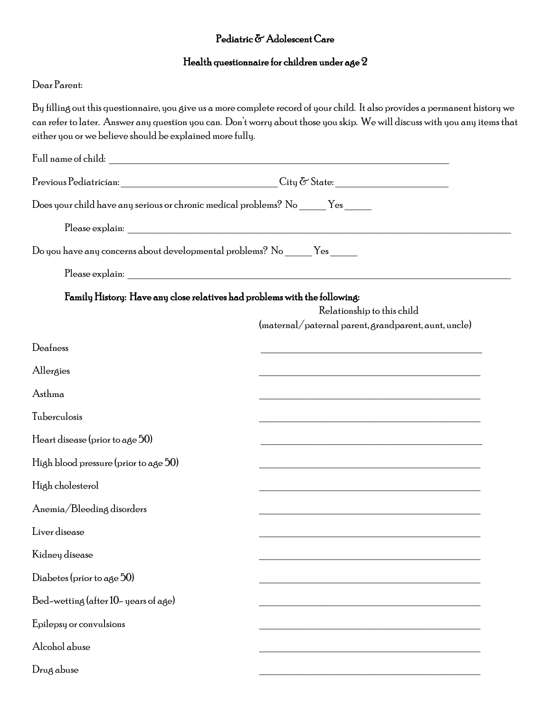## $\textbf{Pediatric} \, \textcolor{red}{\mathbf{\tilde{C}}} \, \textbf{Adolescent} \, \textbf{Care}$

## Health questionnaire for children under age 2

## Dear Parent:

| either you or we believe should be explained more fully.                                                                                                                                                                                                                                                                                                           | By filling out this questionnaire, you give us a more complete record of your child. It also provides a permanent history we<br>can refer to later. Answer any question you can. Don't worry about those you skip. We will discuss with you any items that |  |  |  |
|--------------------------------------------------------------------------------------------------------------------------------------------------------------------------------------------------------------------------------------------------------------------------------------------------------------------------------------------------------------------|------------------------------------------------------------------------------------------------------------------------------------------------------------------------------------------------------------------------------------------------------------|--|--|--|
|                                                                                                                                                                                                                                                                                                                                                                    |                                                                                                                                                                                                                                                            |  |  |  |
| $\begin{picture}(150,10) \put(0,0){\vector(1,0){100}} \put(15,0){\vector(1,0){100}} \put(15,0){\vector(1,0){100}} \put(15,0){\vector(1,0){100}} \put(15,0){\vector(1,0){100}} \put(15,0){\vector(1,0){100}} \put(15,0){\vector(1,0){100}} \put(15,0){\vector(1,0){100}} \put(15,0){\vector(1,0){100}} \put(15,0){\vector(1,0){100}} \put(15,0){\vector(1,0){100}}$ |                                                                                                                                                                                                                                                            |  |  |  |
| Does your child have any serious or chronic medical problems? No ______ Yes ______                                                                                                                                                                                                                                                                                 |                                                                                                                                                                                                                                                            |  |  |  |
|                                                                                                                                                                                                                                                                                                                                                                    |                                                                                                                                                                                                                                                            |  |  |  |
| Do you have any concerns about developmental problems? No ______ Yes ______                                                                                                                                                                                                                                                                                        |                                                                                                                                                                                                                                                            |  |  |  |
|                                                                                                                                                                                                                                                                                                                                                                    |                                                                                                                                                                                                                                                            |  |  |  |
| Family History: Have any close relatives had problems with the following:                                                                                                                                                                                                                                                                                          | Relationship to this child<br>(maternal/paternal parent, grandparent, aunt, uncle)                                                                                                                                                                         |  |  |  |
| Deafness                                                                                                                                                                                                                                                                                                                                                           |                                                                                                                                                                                                                                                            |  |  |  |
| Allergies                                                                                                                                                                                                                                                                                                                                                          |                                                                                                                                                                                                                                                            |  |  |  |
| Asthma                                                                                                                                                                                                                                                                                                                                                             |                                                                                                                                                                                                                                                            |  |  |  |
| Tuberculosis                                                                                                                                                                                                                                                                                                                                                       |                                                                                                                                                                                                                                                            |  |  |  |
| Heart disease (prior to age 50)                                                                                                                                                                                                                                                                                                                                    |                                                                                                                                                                                                                                                            |  |  |  |
| High blood pressure (prior to age 50)                                                                                                                                                                                                                                                                                                                              |                                                                                                                                                                                                                                                            |  |  |  |
| High cholesterol                                                                                                                                                                                                                                                                                                                                                   |                                                                                                                                                                                                                                                            |  |  |  |
| Anemia/Bleeding disorders                                                                                                                                                                                                                                                                                                                                          |                                                                                                                                                                                                                                                            |  |  |  |
| Liver disease                                                                                                                                                                                                                                                                                                                                                      |                                                                                                                                                                                                                                                            |  |  |  |
| Kidney disease                                                                                                                                                                                                                                                                                                                                                     |                                                                                                                                                                                                                                                            |  |  |  |
| Diabetes (prior to age 50)                                                                                                                                                                                                                                                                                                                                         |                                                                                                                                                                                                                                                            |  |  |  |
| Bed-wetting (after 10-years of age)                                                                                                                                                                                                                                                                                                                                |                                                                                                                                                                                                                                                            |  |  |  |
| Epilepsy or convulsions                                                                                                                                                                                                                                                                                                                                            |                                                                                                                                                                                                                                                            |  |  |  |
| Alcohol abuse                                                                                                                                                                                                                                                                                                                                                      |                                                                                                                                                                                                                                                            |  |  |  |
| Drug abuse                                                                                                                                                                                                                                                                                                                                                         |                                                                                                                                                                                                                                                            |  |  |  |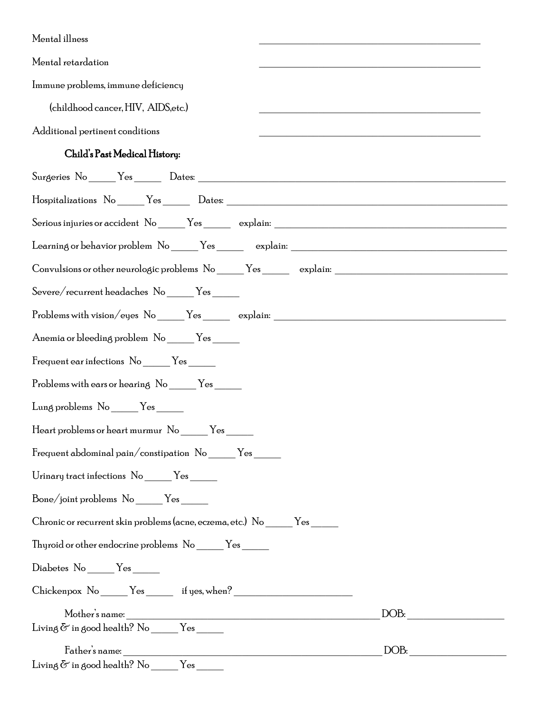| Mental illness                                                                    |  |
|-----------------------------------------------------------------------------------|--|
| Mental retardation                                                                |  |
| Immune problems, immune deficiency                                                |  |
| (childhood cancer, HIV, AIDS, etc.)                                               |  |
| Additional pertinent conditions                                                   |  |
| Child's Past Medical History:                                                     |  |
|                                                                                   |  |
|                                                                                   |  |
| Serious injuries or accident No ______ Yes ________ explain: ____________________ |  |
|                                                                                   |  |
|                                                                                   |  |
| Severe/recurrent headaches No _____Yes ______                                     |  |
| Problems with vision/eyes No ______Yes ________ explain: _______________________  |  |
| Anemia or bleeding problem No _____Yes _____                                      |  |
| Frequent ear infections No _______ Yes _______                                    |  |
| Problems with ears or hearing No _______ Yes ______                               |  |
| Lung problems No _____Yes _____                                                   |  |
| Heart problems or heart murmur No<br>Yes                                          |  |
| Frequent abdominal pain/constipation No ______Yes ______                          |  |
| Urinary tract infections No _______ Yes _______                                   |  |
| Bone/joint problems No _____Yes _____                                             |  |
| Chronic or recurrent skin problems (acne, eczema, etc.) No ______ Yes ______      |  |
| Thyroid or other endocrine problems No ______Yes ______                           |  |
| Diabetes No ______Yes ______                                                      |  |
| Chickenpox No ______Yes _______ if yes, when? ___________________________________ |  |
| DOB:                                                                              |  |
| Living $\delta$ in good health? No _______ Yes _______                            |  |
| DOB:                                                                              |  |

 $\begin{tabular}{l} \displaystyle \text{Living}\, \tilde{\text{{\bf G}}}\, \text{ in good health? No}\, \begin{tabular}{l} \hline \text{{\bf No}}\, \end{tabular} \end{tabular} \end{tabular}$